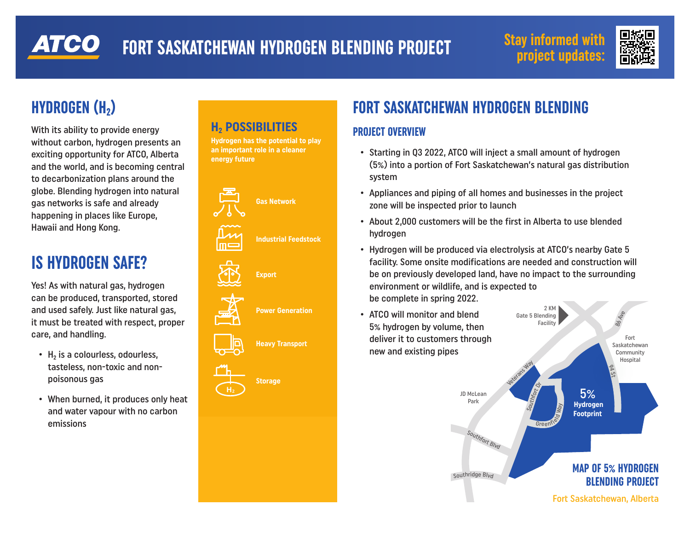# ATCO

# **FORT SASKATCHEWAN HYDROGEN BLENDING PROJECT** Stay informed with





# **HYDROGEN (H₂)**

With its ability to provide energy without carbon, hydrogen presents an exciting opportunity for ATCO, Alberta **not an energy source** and the world, and is becoming central to decarbonization plans around the globe. Blending hydrogen into natural gas networks is safe and already happening in places like Europe, Hawaii and Hong Kong.

# **IS HYDROGEN SAFE?**

Yes! As with natural gas, hydrogen can be produced, transported, stored and used safely. Just like natural gas, it must be treated with respect, proper care, and handling.

- H<sub>2</sub> is a colourless, odourless, tasteless, non-toxic and non-**H2** poisonous gas
- **•** When burned, it produces only heat and water vapour with no carbon emissions

### **H2 POSSIBILITIES**

**Hydrogen has the potential to play an important role in a cleaner energy future**



# **FORT SASKATCHEWAN HYDROGEN BLENDING**

#### **PROJECT OVERVIEW**

- **•** Starting in Q3 2022, ATCO will inject a small amount of hydrogen (5%) into a portion of Fort Saskatchewan's natural gas distribution system
- **•** Appliances and piping of all homes and businesses in the project zone will be inspected prior to launch
- **•** About 2,000 customers will be the first in Alberta to use blended hydrogen
- **•** Hydrogen will be produced via electrolysis at ATCO's nearby Gate 5 facility. Some onsite modifications are needed and construction will be on previously developed land, have no impact to the surrounding environment or wildlife, and is expected to